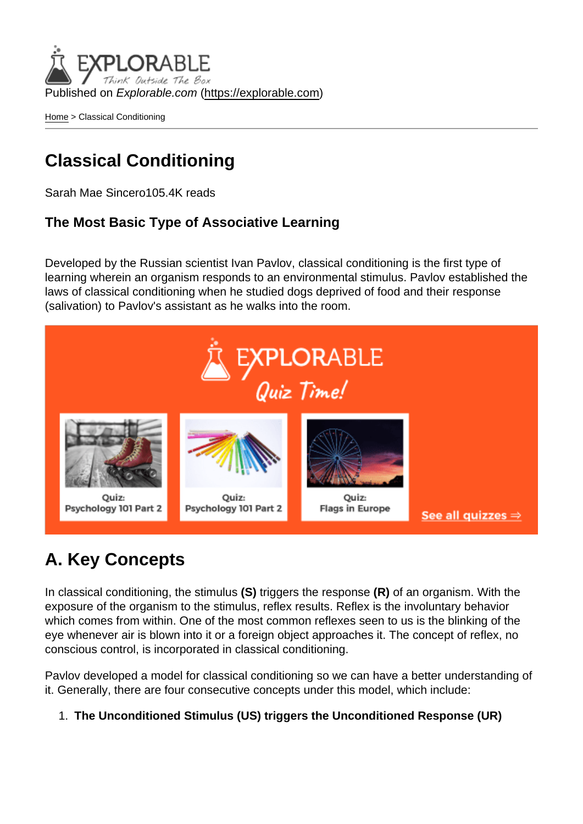Published on Explorable.com (<https://explorable.com>)

[Home](https://explorable.com/) > Classical Conditioning

# Classical Conditioning

Sarah Mae Sincero105.4K reads

The Most Basic Type of Associative Learning

Developed by the Russian scientist Ivan Pavlov, classical conditioning is the first type of learning wherein an organism responds to an environmental stimulus. Pavlov established the laws of classical conditioning when he studied dogs deprived of food and their response (salivation) to Pavlov's assistant as he walks into the room.

# A. Key Concepts

In classical conditioning, the stimulus (S) triggers the response (R) of an organism. With the exposure of the organism to the stimulus, reflex results. Reflex is the involuntary behavior which comes from within. One of the most common reflexes seen to us is the blinking of the eye whenever air is blown into it or a foreign object approaches it. The concept of reflex, no conscious control, is incorporated in classical conditioning.

Pavlov developed a model for classical conditioning so we can have a better understanding of it. Generally, there are four consecutive concepts under this model, which include:

1. The Unconditioned Stimulus (US) triggers the Unconditioned Response (UR)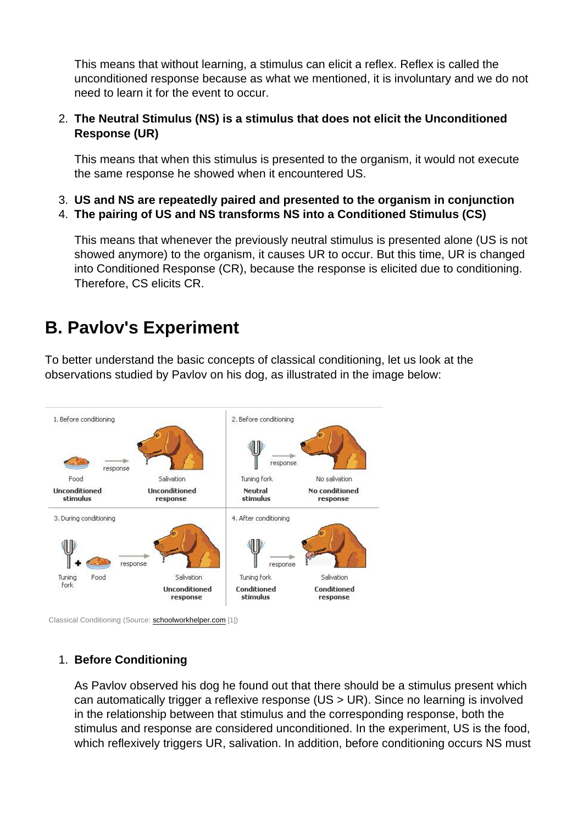This means that without learning, a stimulus can elicit a reflex. Reflex is called the unconditioned response because as what we mentioned, it is involuntary and we do not need to learn it for the event to occur.

2. The Neutral Stimulus (NS) is a stimulus that does not elicit the Unconditioned Response (UR)

This means that when this stimulus is presented to the organism, it would not execute the same response he showed when it encountered US.

- 3. US and NS are repeatedly paired and presented to the organism in conjunction
- 4. The pairing of US and NS transforms NS into a Conditioned Stimulus (CS)

This means that whenever the previously neutral stimulus is presented alone (US is not showed anymore) to the organism, it causes UR to occur. But this time, UR is changed into Conditioned Response (CR), because the response is elicited due to conditioning. Therefore, CS elicits CR.

### B. Pavlov's Experiment

To better understand the basic concepts of classical conditioning, let us look at the observations studied by Pavlov on his dog, as illustrated in the image below:

Classical Conditioning (Source: [schoolworkhelper.com](http://schoolworkhelper.net/learning-classical-conditioning-operant-conditioning/) [1])

#### 1. Before Conditioning

As Pavlov observed his dog he found out that there should be a stimulus present which can automatically trigger a reflexive response (US > UR). Since no learning is involved in the relationship between that stimulus and the corresponding response, both the stimulus and response are considered unconditioned. In the experiment, US is the food, which reflexively triggers UR, salivation. In addition, before conditioning occurs NS must